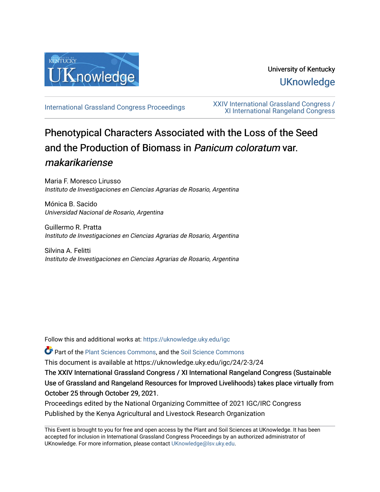

# University of Kentucky **UKnowledge**

[International Grassland Congress Proceedings](https://uknowledge.uky.edu/igc) [XXIV International Grassland Congress /](https://uknowledge.uky.edu/igc/24)  [XI International Rangeland Congress](https://uknowledge.uky.edu/igc/24) 

# Phenotypical Characters Associated with the Loss of the Seed and the Production of Biomass in Panicum coloratum var. makarikariense

Maria F. Moresco Lirusso Instituto de Investigaciones en Ciencias Agrarias de Rosario, Argentina

Mónica B. Sacido Universidad Nacional de Rosario, Argentina

Guillermo R. Pratta Instituto de Investigaciones en Ciencias Agrarias de Rosario, Argentina

Silvina A. Felitti Instituto de Investigaciones en Ciencias Agrarias de Rosario, Argentina

Follow this and additional works at: [https://uknowledge.uky.edu/igc](https://uknowledge.uky.edu/igc?utm_source=uknowledge.uky.edu%2Figc%2F24%2F2-3%2F24&utm_medium=PDF&utm_campaign=PDFCoverPages) 

Part of the [Plant Sciences Commons](http://network.bepress.com/hgg/discipline/102?utm_source=uknowledge.uky.edu%2Figc%2F24%2F2-3%2F24&utm_medium=PDF&utm_campaign=PDFCoverPages), and the [Soil Science Commons](http://network.bepress.com/hgg/discipline/163?utm_source=uknowledge.uky.edu%2Figc%2F24%2F2-3%2F24&utm_medium=PDF&utm_campaign=PDFCoverPages) 

This document is available at https://uknowledge.uky.edu/igc/24/2-3/24

The XXIV International Grassland Congress / XI International Rangeland Congress (Sustainable Use of Grassland and Rangeland Resources for Improved Livelihoods) takes place virtually from October 25 through October 29, 2021.

Proceedings edited by the National Organizing Committee of 2021 IGC/IRC Congress Published by the Kenya Agricultural and Livestock Research Organization

This Event is brought to you for free and open access by the Plant and Soil Sciences at UKnowledge. It has been accepted for inclusion in International Grassland Congress Proceedings by an authorized administrator of UKnowledge. For more information, please contact [UKnowledge@lsv.uky.edu](mailto:UKnowledge@lsv.uky.edu).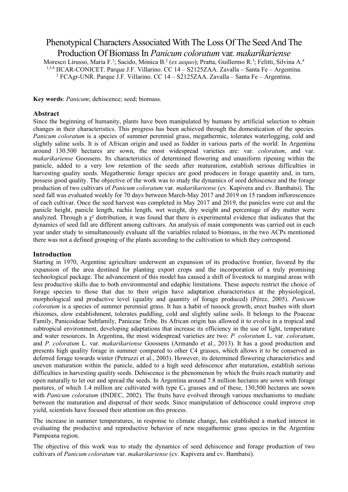# Phenotypical Characters Associated With The Loss Of The Seed And The Production Of Biomass In *Panicum coloratum* var. *makarikariense*

Moresco Lirusso, María F.<sup>1</sup>; Sacido, Mónica B.<sup>2</sup> (*ex aequo*); Pratta, Guillermo R.<sup>3</sup>; Felitti, Silvina A.<sup>4</sup> 1,3,4 IICAR-CONICET. Parque J.F. Villarino. CC 14 – S2125ZAA. Zavalla – Santa Fe – Argentina. <sup>2</sup> FCAgr-UNR. Parque J.F. Villarino. CC 14 – S2125ZAA. Zavalla – Santa Fe – Argentina.

**Key words**: *Panicum*; dehiscence; seed; biomass.

## **Abstract**

Since the beginning of humanity, plants have been manipulated by humans by artificial selection to obtain changes in their characteristics. This progress has been achieved through the domestication of the species. *Panicum coloratum* is a species of summer perennial grass, megathermic, tolerates waterlogging, cold and slightly saline soils. It is of African origin and used as fodder in various parts of the world. In Argentina around 130.500 hectares are sown, the most widespread varieties are: var. *coloratum*, and var. *makarikariense* Goossens. Its characteristics of determined flowering and ununiform ripening within the panicle, added to a very low retention of the seeds after maturation, establish serious difficulties in harvesting quality seeds. Megathermic forage species are good producers in forage quantity and, in turn, possess good quality. The objective of the work was to study the dynamics of seed dehiscence and the forage production of two cultivars of *Panicum coloratum* var. *makarikariense* (cv. Kapivera and cv. Bambatsi). The seed fall was evaluated weekly for 70 days between March-May 2017 and 2019 on 15 random inflorescences of each cultivar. Once the seed harvest was completed in May 2017 and 2019, the panicles were cut and the panicle height, panicle length, rachis length, wet weight, dry weight and percentage of dry matter were analyzed. Through a  $\chi^2$  distribution, it was found that there is experimental evidence that indicates that the dynamics of seed fall are different among cultivars. An analysis of main components was carried out in each year under study to simultaneously evaluate all the variables related to biomass, in the two ACPs mentioned there was not a defined grouping of the plants according to the cultivation to which they correspond.

## **Introduction**

Starting in 1970, Argentine agriculture underwent an expansion of its productive frontier, favored by the expansion of the area destined for planting export crops and the incorporation of a truly promising technological package. The advancement of this model has caused a shift of livestock to marginal areas with less productive skills due to both environmental and edaphic limitations. These aspects restrict the choice of forage species to those that due to their origin have adaptation characteristics at the physiological, morphological and productive level (quality and quantity of forage produced) (Pérez, 2005). *Panicum coloratum* is a species of summer perennial grass. It has a habit of tussock growth, erect bushes with short rhizomes, slow establishment, tolerates puddling, cold and slightly saline soils. It belongs to the Poaceae Family, Panicoideae Subfamily, Paniceae Tribe. Its African origin has allowed it to evolve in a tropical and subtropical environment, developing adaptations that increase its efficiency in the use of light, temperature and water resources. In Argentina, the most widespread varieties are two: *P. coloratum* L. var. *coloratum*, and *P. coloratum* L. var. *makarikariense* Goossens (Armando et al., 2013). It has a good production and presents high quality forage in summer compared to other C4 grasses, which allows it to be conserved as deferred forage towards winter (Petruzzi et al., 2003). However, its determined flowering characteristics and uneven maturation within the panicle, added to a high seed dehiscence after maturation, establish serious difficulties in harvesting quality seeds. Dehiscence is the phenomenon by which the fruits reach maturity and open naturally to let out and spread the seeds. In Argentina around 7.8 million hectares are sown with forage pastures, of which 1.4 million are cultivated with type  $C_4$  grasses and of these, 130,500 hectares are sown with *Panicum coloratum* (INDEC, 2002). The fruits have evolved through various mechanisms to mediate between the maturation and dispersal of their seeds. Since manipulation of dehiscence could improve crop yield, scientists have focused their attention on this process.

The increase in summer temperatures, in response to climate change, has established a marked interest in evaluating the productive and reproductive behavior of new megathermic grass species in the Argentine Pampeana region.

The objective of this work was to study the dynamics of seed dehiscence and forage production of two cultivars of *Panicum coloratum* var. *makarikariense* (cv. Kapivera and cv. Bambatsi).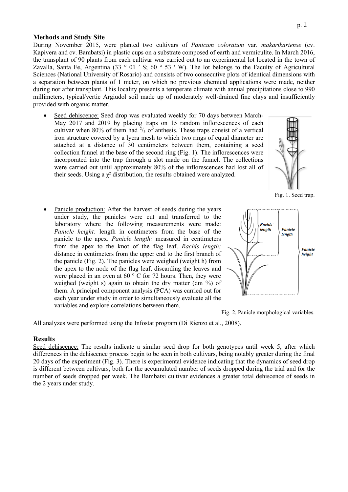# **Methods and Study Site**

During November 2015, were planted two cultivars of *Panicum coloratum* var. *makarikariense* (cv. Kapivera and cv. Bambatsi) in plastic cups on a substrate composed of earth and vermiculite. In March 2016, the transplant of 90 plants from each cultivar was carried out to an experimental lot located in the town of Zavalla, Santa Fe, Argentina (33 ° 01 ' S; 60 ° 53 ' W). The lot belongs to the Faculty of Agricultural Sciences (National University of Rosario) and consists of two consecutive plots of identical dimensions with a separation between plants of 1 meter, on which no previous chemical applications were made, neither during nor after transplant. This locality presents a temperate climate with annual precipitations close to 990 millimeters, typical/vertic Argiudol soil made up of moderately well-drained fine clays and insufficiently provided with organic matter.

Seed dehiscence: Seed drop was evaluated weekly for 70 days between March-May 2017 and 2019 by placing traps on 15 random inflorescences of each cultivar when 80% of them had  $\frac{2}{3}$  of anthesis. These traps consist of a vertical iron structure covered by a lycra mesh to which two rings of equal diameter are attached at a distance of 30 centimeters between them, containing a seed collection funnel at the base of the second ring (Fig. 1). The inflorescences were incorporated into the trap through a slot made on the funnel. The collections were carried out until approximately 80% of the inflorescences had lost all of their seeds. Using a  $\chi^2$  distribution, the results obtained were analyzed.



Fig. 1. Seed trap.

Panicle production: After the harvest of seeds during the years under study, the panicles were cut and transferred to the laboratory where the following measurements were made: *Panicle height:* length in centimeters from the base of the panicle to the apex. *Panicle length:* measured in centimeters from the apex to the knot of the flag leaf. *Rachis length:* distance in centimeters from the upper end to the first branch of the panicle (Fig. 2). The panicles were weighed (weight h) from the apex to the node of the flag leaf, discarding the leaves and were placed in an oven at 60 ° C for 72 hours. Then, they were weighed (weight s) again to obtain the dry matter (dm %) of them. A principal component analysis (PCA) was carried out for each year under study in order to simultaneously evaluate all the variables and explore correlations between them.





All analyzes were performed using the Infostat program (Di Rienzo et al., 2008).

#### **Results**

Seed dehiscence: The results indicate a similar seed drop for both genotypes until week 5, after which differences in the dehiscence process begin to be seen in both cultivars, being notably greater during the final 20 days of the experiment (Fig. 3). There is experimental evidence indicating that the dynamics of seed drop is different between cultivars, both for the accumulated number of seeds dropped during the trial and for the number of seeds dropped per week. The Bambatsi cultivar evidences a greater total dehiscence of seeds in the 2 years under study.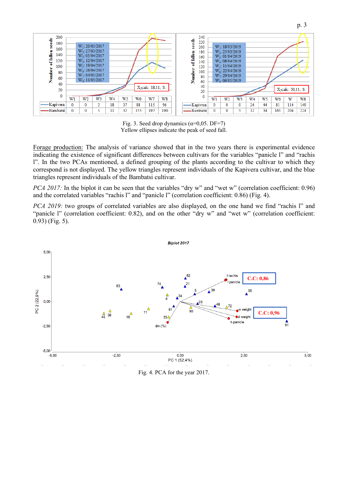

Fig. 3. Seed drop dynamics  $(\alpha=0.05. \text{DF}=7)$ Yellow ellipses indicate the peak of seed fall.

Forage production: The analysis of variance showed that in the two years there is experimental evidence indicating the existence of significant differences between cultivars for the variables "panicle l" and "rachis l". In the two PCAs mentioned, a defined grouping of the plants according to the cultivar to which they correspond is not displayed. The yellow triangles represent individuals of the Kapivera cultivar, and the blue triangles represent individuals of the Bambatsi cultivar.

*PCA 2017*: In the biplot it can be seen that the variables "dry w" and "wet w" (correlation coefficient: 0.96) and the correlated variables "rachis l" and "panicle l" (correlation coefficient: 0.86) (Fig. 4).

*PCA 2019:* two groups of correlated variables are also displayed, on the one hand we find "rachis l" and "panicle l" (correlation coefficient: 0.82), and on the other "dry w" and "wet w" (correlation coefficient: 0.93) (Fig. 5).